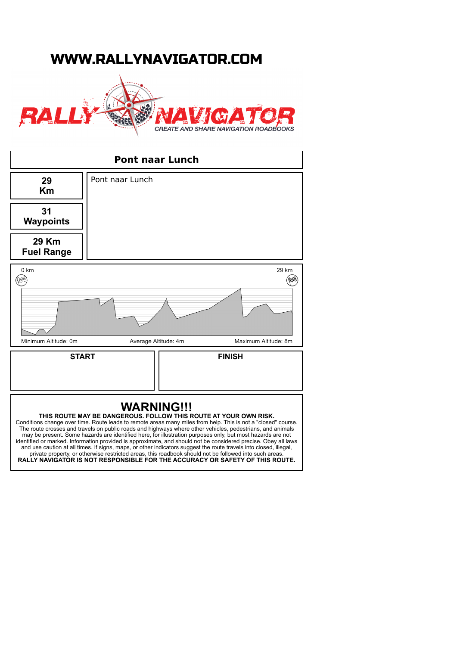## WWW.RALLYNAVIGATOR.COM





and use caution at all times. If signs, maps, or other indicators suggest the route travels into closed, illegal, private property, or otherwise restricted areas, this roadbook should not be followed into such areas. **RALLY NAVIGATOR IS NOT RESPONSIBLE FOR THE ACCURACY OR SAFETY OF THIS ROUTE.**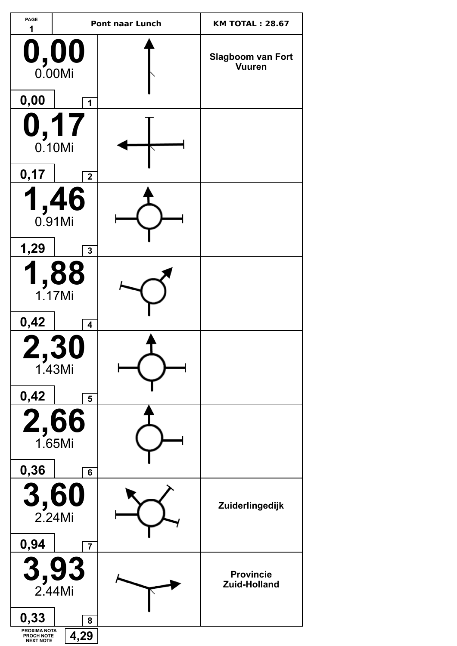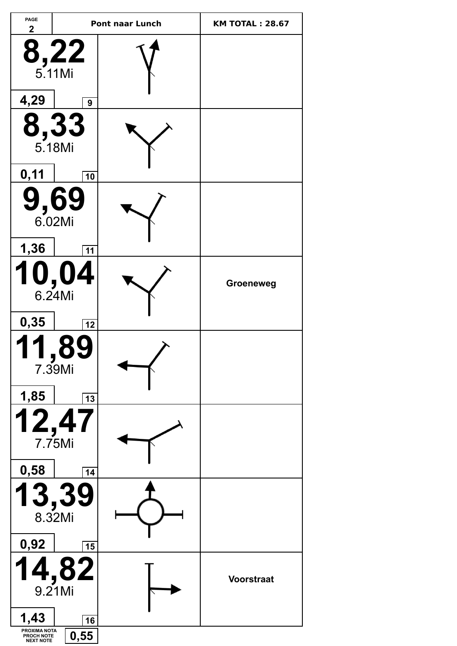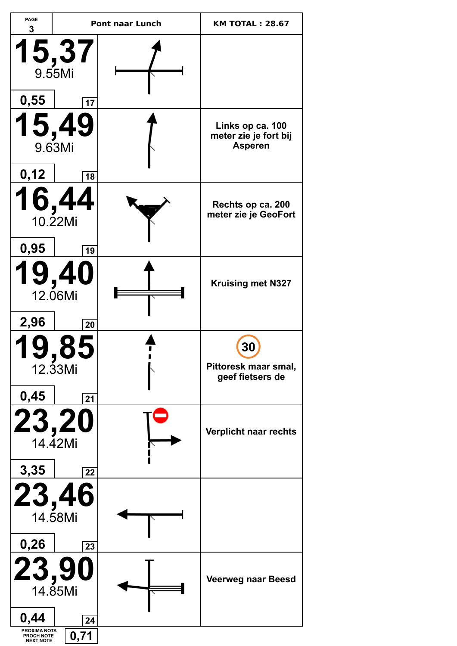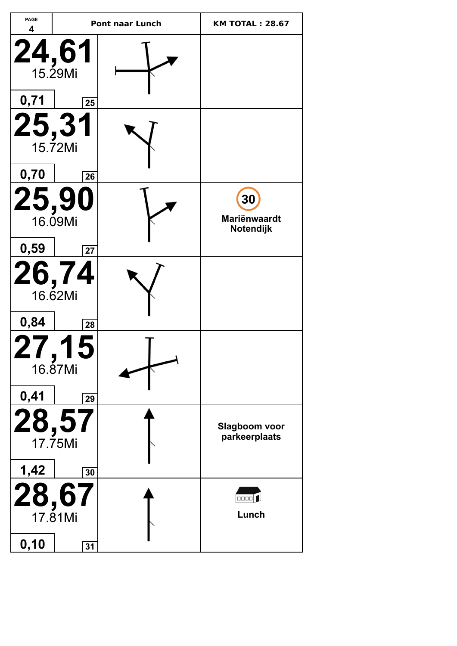